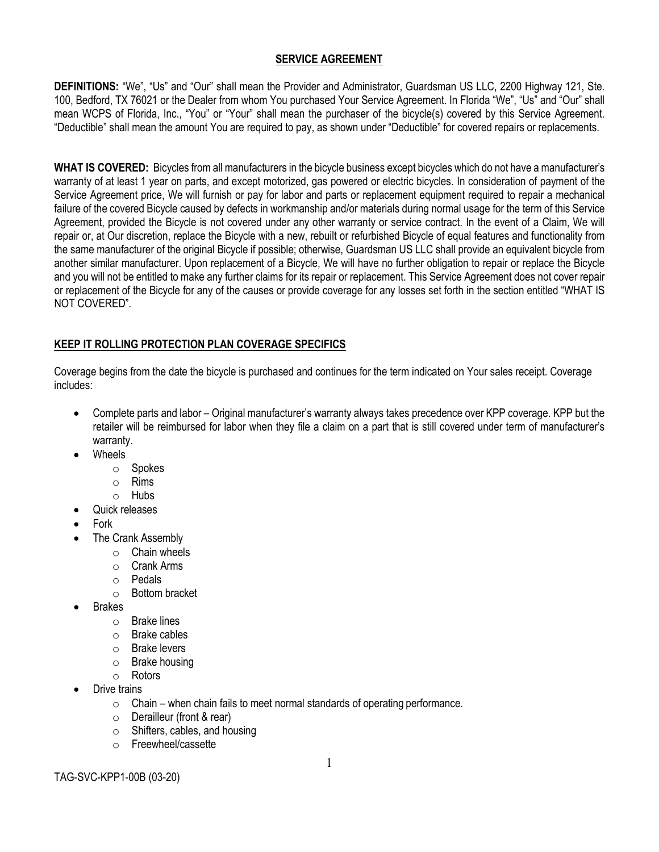### **SERVICE AGREEMENT**

**DEFINITIONS:** "We", "Us" and "Our" shall mean the Provider and Administrator, Guardsman US LLC, 2200 Highway 121, Ste. 100, Bedford, TX 76021 or the Dealer from whom You purchased Your Service Agreement. In Florida "We", "Us" and "Our" shall mean WCPS of Florida, Inc., "You" or "Your" shall mean the purchaser of the bicycle(s) covered by this Service Agreement. "Deductible" shall mean the amount You are required to pay, as shown under "Deductible" for covered repairs or replacements.

**WHAT IS COVERED:** Bicycles from all manufacturers in the bicycle business except bicycles which do not have a manufacturer's warranty of at least 1 year on parts, and except motorized, gas powered or electric bicycles. In consideration of payment of the Service Agreement price, We will furnish or pay for labor and parts or replacement equipment required to repair a mechanical failure of the covered Bicycle caused by defects in workmanship and/or materials during normal usage for the term of this Service Agreement, provided the Bicycle is not covered under any other warranty or service contract. In the event of a Claim, We will repair or, at Our discretion, replace the Bicycle with a new, rebuilt or refurbished Bicycle of equal features and functionality from the same manufacturer of the original Bicycle if possible; otherwise, Guardsman US LLC shall provide an equivalent bicycle from another similar manufacturer. Upon replacement of a Bicycle, We will have no further obligation to repair or replace the Bicycle and you will not be entitled to make any further claims for its repair or replacement. This Service Agreement does not cover repair or replacement of the Bicycle for any of the causes or provide coverage for any losses set forth in the section entitled "WHAT IS NOT COVERED".

## **KEEP IT ROLLING PROTECTION PLAN COVERAGE SPECIFICS**

Coverage begins from the date the bicycle is purchased and continues for the term indicated on Your sales receipt. Coverage includes:

- Complete parts and labor Original manufacturer's warranty always takes precedence over KPP coverage. KPP but the retailer will be reimbursed for labor when they file a claim on a part that is still covered under term of manufacturer's warranty.
- Wheels
	- o Spokes
	- o Rims
	- o Hubs
- Quick releases
- Fork
- The Crank Assembly
	- $\circ$  Chain wheels
	- o Crank Arms
	- o Pedals
	- o Bottom bracket
- Brakes
	- o Brake lines
	- o Brake cables
	- o Brake levers
	- o Brake housing
	- o Rotors
- Drive trains
	- $\circ$  Chain when chain fails to meet normal standards of operating performance.
	- o Derailleur (front & rear)
	- o Shifters, cables, and housing
	- o Freewheel/cassette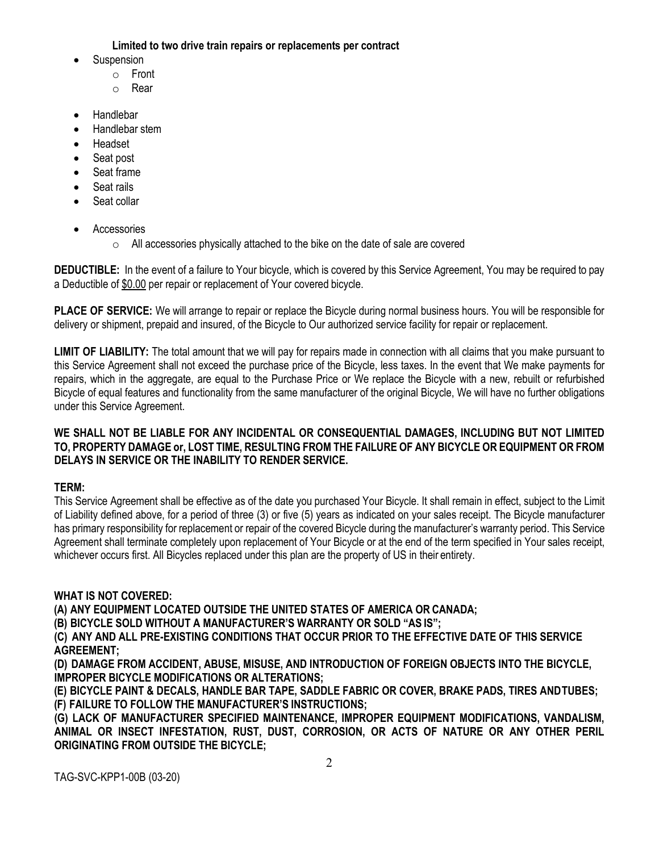**Limited to two drive train repairs or replacements per contract**

- **Suspension** 
	- o Front
	- o Rear
- Handlebar
- Handlebar stem
- Headset
- Seat post
- Seat frame
- Seat rails
- Seat collar
- Accessories
	- $\circ$  All accessories physically attached to the bike on the date of sale are covered

**DEDUCTIBLE:** In the event of a failure to Your bicycle, which is covered by this Service Agreement, You may be required to pay a Deductible of \$0.00 per repair or replacement of Your covered bicycle.

**PLACE OF SERVICE:** We will arrange to repair or replace the Bicycle during normal business hours. You will be responsible for delivery or shipment, prepaid and insured, of the Bicycle to Our authorized service facility for repair or replacement.

**LIMIT OF LIABILITY:** The total amount that we will pay for repairs made in connection with all claims that you make pursuant to this Service Agreement shall not exceed the purchase price of the Bicycle, less taxes. In the event that We make payments for repairs, which in the aggregate, are equal to the Purchase Price or We replace the Bicycle with a new, rebuilt or refurbished Bicycle of equal features and functionality from the same manufacturer of the original Bicycle, We will have no further obligations under this Service Agreement.

## **WE SHALL NOT BE LIABLE FOR ANY INCIDENTAL OR CONSEQUENTIAL DAMAGES, INCLUDING BUT NOT LIMITED TO, PROPERTY DAMAGE or, LOST TIME, RESULTING FROM THE FAILURE OF ANY BICYCLE OR EQUIPMENT OR FROM DELAYS IN SERVICE OR THE INABILITY TO RENDER SERVICE.**

# **TERM:**

This Service Agreement shall be effective as of the date you purchased Your Bicycle. It shall remain in effect, subject to the Limit of Liability defined above, for a period of three (3) or five (5) years as indicated on your sales receipt. The Bicycle manufacturer has primary responsibility for replacement or repair of the covered Bicycle during the manufacturer's warranty period. This Service Agreement shall terminate completely upon replacement of Your Bicycle or at the end of the term specified in Your sales receipt, whichever occurs first. All Bicycles replaced under this plan are the property of US in their entirety.

# **WHAT IS NOT COVERED:**

**(A) ANY EQUIPMENT LOCATED OUTSIDE THE UNITED STATES OF AMERICA OR CANADA;**

**(B) BICYCLE SOLD WITHOUT A MANUFACTURER'S WARRANTY OR SOLD "AS IS";**

**(C) ANY AND ALL PRE-EXISTING CONDITIONS THAT OCCUR PRIOR TO THE EFFECTIVE DATE OF THIS SERVICE AGREEMENT;**

**(D) DAMAGE FROM ACCIDENT, ABUSE, MISUSE, AND INTRODUCTION OF FOREIGN OBJECTS INTO THE BICYCLE, IMPROPER BICYCLE MODIFICATIONS OR ALTERATIONS;**

**(E) BICYCLE PAINT & DECALS, HANDLE BAR TAPE, SADDLE FABRIC OR COVER, BRAKE PADS, TIRES ANDTUBES; (F) FAILURE TO FOLLOW THE MANUFACTURER'S INSTRUCTIONS;**

**(G) LACK OF MANUFACTURER SPECIFIED MAINTENANCE, IMPROPER EQUIPMENT MODIFICATIONS, VANDALISM, ANIMAL OR INSECT INFESTATION, RUST, DUST, CORROSION, OR ACTS OF NATURE OR ANY OTHER PERIL ORIGINATING FROM OUTSIDE THE BICYCLE;**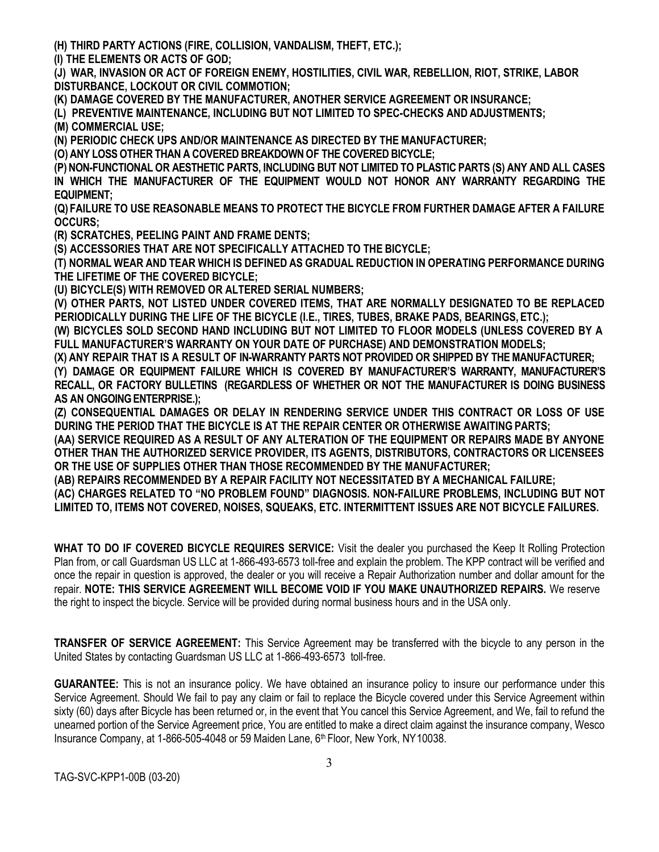**(H) THIRD PARTY ACTIONS (FIRE, COLLISION, VANDALISM, THEFT, ETC.);**

**(I) THE ELEMENTS OR ACTS OF GOD;**

**(J) WAR, INVASION OR ACT OF FOREIGN ENEMY, HOSTILITIES, CIVIL WAR, REBELLION, RIOT, STRIKE, LABOR DISTURBANCE, LOCKOUT OR CIVIL COMMOTION;**

**(K) DAMAGE COVERED BY THE MANUFACTURER, ANOTHER SERVICE AGREEMENT OR INSURANCE;**

**(L) PREVENTIVE MAINTENANCE, INCLUDING BUT NOT LIMITED TO SPEC-CHECKS AND ADJUSTMENTS; (M) COMMERCIAL USE;**

**(N) PERIODIC CHECK UPS AND/OR MAINTENANCE AS DIRECTED BY THE MANUFACTURER;**

**(O) ANY LOSSOTHER THAN A COVERED BREAKDOWNOF THE COVERED BICYCLE;**

**(P) NON-FUNCTIONAL OR AESTHETIC PARTS, INCLUDING BUT NOT LIMITED TO PLASTIC PARTS (S) ANY AND ALL CASES IN WHICH THE MANUFACTURER OF THE EQUIPMENT WOULD NOT HONOR ANY WARRANTY REGARDING THE EQUIPMENT;**

**(Q) FAILURE TO USE REASONABLE MEANS TO PROTECT THE BICYCLE FROM FURTHER DAMAGE AFTER A FAILURE OCCURS;**

**(R) SCRATCHES, PEELING PAINT AND FRAME DENTS;**

**(S) ACCESSORIES THAT ARE NOT SPECIFICALLY ATTACHED TO THE BICYCLE;**

**(T) NORMAL WEAR AND TEAR WHICH IS DEFINED AS GRADUAL REDUCTION IN OPERATING PERFORMANCE DURING THE LIFETIME OF THE COVERED BICYCLE;**

**(U) BICYCLE(S) WITH REMOVED OR ALTERED SERIAL NUMBERS;**

**(V) OTHER PARTS, NOT LISTED UNDER COVERED ITEMS, THAT ARE NORMALLY DESIGNATED TO BE REPLACED PERIODICALLY DURING THE LIFE OF THE BICYCLE (I.E., TIRES, TUBES, BRAKE PADS, BEARINGS, ETC.);**

**(W) BICYCLES SOLD SECOND HAND INCLUDING BUT NOT LIMITED TO FLOOR MODELS (UNLESS COVERED BY A FULL MANUFACTURER'S WARRANTY ON YOUR DATE OF PURCHASE) AND DEMONSTRATION MODELS;**

**(X) ANY REPAIR THAT IS A RESULT OF IN-WARRANTY PARTS NOT PROVIDED OR SHIPPED BY THEMANUFACTURER;**

**(Y) DAMAGE OR EQUIPMENT FAILURE WHICH IS COVERED BY MANUFACTURER'S WARRANTY, MANUFACTURER'S RECALL, OR FACTORY BULLETINS (REGARDLESS OF WHETHER OR NOT THE MANUFACTURER IS DOING BUSINESS**  AS AN ONGOING ENTERPRISE.);

**(Z) CONSEQUENTIAL DAMAGES OR DELAY IN RENDERING SERVICE UNDER THIS CONTRACT OR LOSS OF USE DURING THE PERIOD THAT THE BICYCLE IS AT THE REPAIR CENTER OR OTHERWISE AWAITINGPARTS;**

**(AA) SERVICE REQUIRED AS A RESULT OF ANY ALTERATION OF THE EQUIPMENT OR REPAIRS MADE BY ANYONE OTHER THAN THE AUTHORIZED SERVICE PROVIDER, ITS AGENTS, DISTRIBUTORS, CONTRACTORS OR LICENSEES OR THE USE OF SUPPLIES OTHER THAN THOSE RECOMMENDED BY THE MANUFACTURER;**

**(AB) REPAIRS RECOMMENDED BY A REPAIR FACILITY NOT NECESSITATED BY A MECHANICAL FAILURE; (AC) CHARGES RELATED TO "NO PROBLEM FOUND" DIAGNOSIS. NON-FAILURE PROBLEMS, INCLUDING BUT NOT LIMITED TO, ITEMS NOT COVERED, NOISES, SQUEAKS, ETC. INTERMITTENT ISSUES ARE NOT BICYCLE FAILURES.**

**WHAT TO DO IF COVERED BICYCLE REQUIRES SERVICE:** Visit the dealer you purchased the Keep It Rolling Protection Plan from, or call Guardsman US LLC at 1-866-493-6573 toll-free and explain the problem. The KPP contract will be verified and once the repair in question is approved, the dealer or you will receive a Repair Authorization number and dollar amount for the repair. **NOTE: THIS SERVICE AGREEMENT WILL BECOME VOID IF YOU MAKE UNAUTHORIZED REPAIRS.** We reserve the right to inspect the bicycle. Service will be provided during normal business hours and in the USA only.

**TRANSFER OF SERVICE AGREEMENT:** This Service Agreement may be transferred with the bicycle to any person in the United States by contacting Guardsman US LLC at 1-866-493-6573 toll-free.

**GUARANTEE:** This is not an insurance policy. We have obtained an insurance policy to insure our performance under this Service Agreement. Should We fail to pay any claim or fail to replace the Bicycle covered under this Service Agreement within sixty (60) days after Bicycle has been returned or, in the event that You cancel this Service Agreement, and We, fail to refund the unearned portion of the Service Agreement price, You are entitled to make a direct claim against the insurance company, Wesco Insurance Company, at 1-866-505-4048 or 59 Maiden Lane, 6th Floor, New York, NY10038.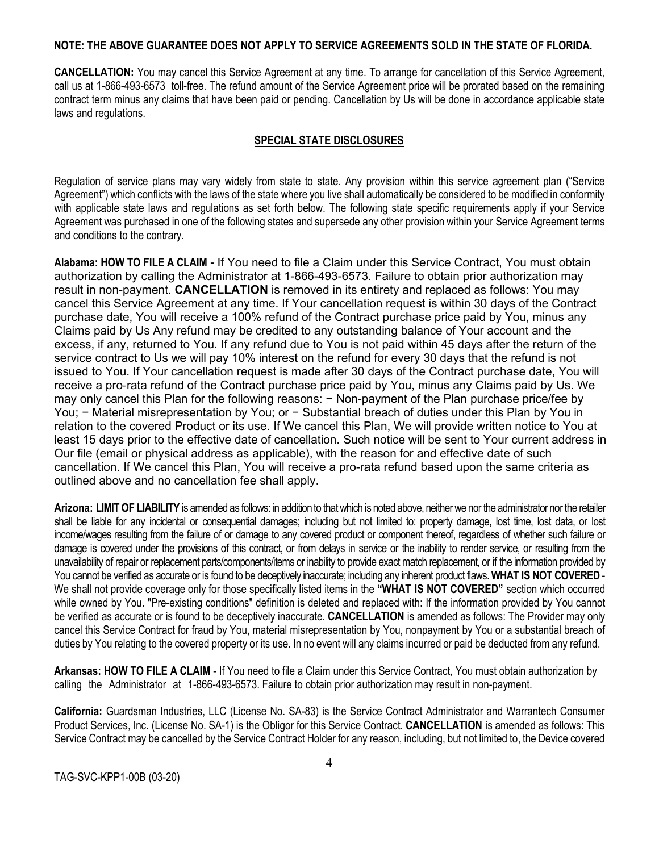#### **NOTE: THE ABOVE GUARANTEE DOES NOT APPLY TO SERVICE AGREEMENTS SOLD IN THE STATE OF FLORIDA.**

**CANCELLATION:** You may cancel this Service Agreement at any time. To arrange for cancellation of this Service Agreement, call us at 1-866-493-6573 toll-free. The refund amount of the Service Agreement price will be prorated based on the remaining contract term minus any claims that have been paid or pending. Cancellation by Us will be done in accordance applicable state laws and regulations.

### **SPECIAL STATE DISCLOSURES**

Regulation of service plans may vary widely from state to state. Any provision within this service agreement plan ("Service Agreement") which conflicts with the laws of the state where you live shall automatically be considered to be modified in conformity with applicable state laws and regulations as set forth below. The following state specific requirements apply if your Service Agreement was purchased in one of the following states and supersede any other provision within your Service Agreement terms and conditions to the contrary.

**Alabama: HOW TO FILE A CLAIM -** If You need to file a Claim under this Service Contract, You must obtain authorization by calling the Administrator at 1-866-493-6573. Failure to obtain prior authorization may result in non-payment. **CANCELLATION** is removed in its entirety and replaced as follows: You may cancel this Service Agreement at any time. If Your cancellation request is within 30 days of the Contract purchase date, You will receive a 100% refund of the Contract purchase price paid by You, minus any Claims paid by Us Any refund may be credited to any outstanding balance of Your account and the excess, if any, returned to You. If any refund due to You is not paid within 45 days after the return of the service contract to Us we will pay 10% interest on the refund for every 30 days that the refund is not issued to You. If Your cancellation request is made after 30 days of the Contract purchase date, You will receive a pro‐rata refund of the Contract purchase price paid by You, minus any Claims paid by Us. We may only cancel this Plan for the following reasons: - Non-payment of the Plan purchase price/fee by You; − Material misrepresentation by You; or − Substantial breach of duties under this Plan by You in relation to the covered Product or its use. If We cancel this Plan, We will provide written notice to You at least 15 days prior to the effective date of cancellation. Such notice will be sent to Your current address in Our file (email or physical address as applicable), with the reason for and effective date of such cancellation. If We cancel this Plan, You will receive a pro-rata refund based upon the same criteria as outlined above and no cancellation fee shall apply.

**Arizona: LIMITOF LIABILITY** is amended as follows: in additionto thatwhich is noted above, neitherwe nor the administrator northe retailer shall be liable for any incidental or consequential damages; including but not limited to: property damage, lost time, lost data, or lost income/wages resulting from the failure of or damage to any covered product or component thereof, regardless of whether such failure or damage is covered under the provisions of this contract, or from delays in service or the inability to render service, or resulting from the unavailability of repair or replacement parts/components/items or inability to provide exact match replacement, or if the information provided by You cannot be verified as accurate or is found to be deceptively inaccurate; including any inherent product flaws.**WHAT IS NOT COVERED** - We shall not provide coverage only for those specifically listed items in the **"WHAT IS NOT COVERED"** section which occurred while owned by You. "Pre-existing conditions" definition is deleted and replaced with: If the information provided by You cannot be verified as accurate or is found to be deceptively inaccurate. **CANCELLATION** is amended as follows: The Provider may only cancel this Service Contract for fraud by You, material misrepresentation by You, nonpayment by You or a substantial breach of duties by You relating to the covered property or its use. In no event will any claims incurred or paid be deducted from any refund.

**Arkansas: HOW TO FILE A CLAIM** - If You need to file a Claim under this Service Contract, You must obtain authorization by calling the Administrator at 1-866-493-6573. Failure to obtain prior authorization may result in non-payment.

**California:** Guardsman Industries, LLC (License No. SA-83) is the Service Contract Administrator and Warrantech Consumer Product Services, Inc. (License No. SA-1) is the Obligor for this Service Contract. **CANCELLATION** is amended as follows: This Service Contract may be cancelled by the Service Contract Holder for any reason, including, but not limited to, the Device covered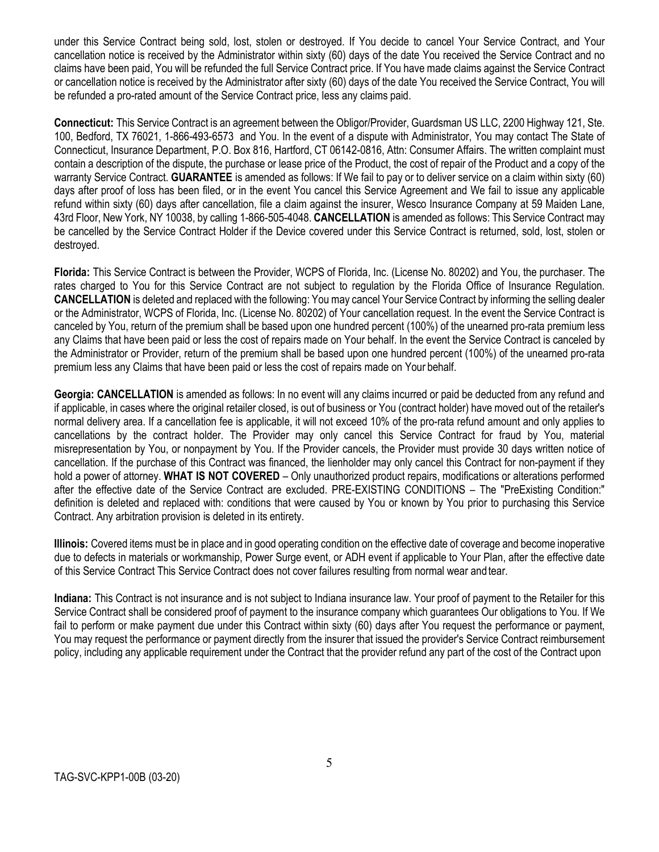under this Service Contract being sold, lost, stolen or destroyed. If You decide to cancel Your Service Contract, and Your cancellation notice is received by the Administrator within sixty (60) days of the date You received the Service Contract and no claims have been paid, You will be refunded the full Service Contract price. If You have made claims against the Service Contract or cancellation notice is received by the Administrator after sixty (60) days of the date You received the Service Contract, You will be refunded a pro-rated amount of the Service Contract price, less any claims paid.

**Connecticut:** This Service Contract is an agreement between the Obligor/Provider, Guardsman US LLC, 2200 Highway 121, Ste. 100, Bedford, TX 76021, 1-866-493-6573 and You. In the event of a dispute with Administrator, You may contact The State of Connecticut, Insurance Department, P.O. Box 816, Hartford, CT 06142-0816, Attn: Consumer Affairs. The written complaint must contain a description of the dispute, the purchase or lease price of the Product, the cost of repair of the Product and a copy of the warranty Service Contract. **GUARANTEE** is amended as follows: If We fail to pay or to deliver service on a claim within sixty (60) days after proof of loss has been filed, or in the event You cancel this Service Agreement and We fail to issue any applicable refund within sixty (60) days after cancellation, file a claim against the insurer, Wesco Insurance Company at 59 Maiden Lane, 43rd Floor, New York, NY 10038, by calling 1-866-505-4048. **CANCELLATION** is amended as follows: This Service Contract may be cancelled by the Service Contract Holder if the Device covered under this Service Contract is returned, sold, lost, stolen or destroyed.

**Florida:** This Service Contract is between the Provider, WCPS of Florida, Inc. (License No. 80202) and You, the purchaser. The rates charged to You for this Service Contract are not subject to regulation by the Florida Office of Insurance Regulation. **CANCELLATION** is deleted and replaced with the following: You may cancel Your Service Contract by informing the selling dealer or the Administrator, WCPS of Florida, Inc. (License No. 80202) of Your cancellation request. In the event the Service Contract is canceled by You, return of the premium shall be based upon one hundred percent (100%) of the unearned pro-rata premium less any Claims that have been paid or less the cost of repairs made on Your behalf. In the event the Service Contract is canceled by the Administrator or Provider, return of the premium shall be based upon one hundred percent (100%) of the unearned pro-rata premium less any Claims that have been paid or less the cost of repairs made on Your behalf.

**Georgia: CANCELLATION** is amended as follows: In no event will any claims incurred or paid be deducted from any refund and if applicable, in cases where the original retailer closed, is out of business or You (contract holder) have moved out of the retailer's normal delivery area. If a cancellation fee is applicable, it will not exceed 10% of the pro-rata refund amount and only applies to cancellations by the contract holder. The Provider may only cancel this Service Contract for fraud by You, material misrepresentation by You, or nonpayment by You. If the Provider cancels, the Provider must provide 30 days written notice of cancellation. If the purchase of this Contract was financed, the lienholder may only cancel this Contract for non-payment if they hold a power of attorney. **WHAT IS NOT COVERED** – Only unauthorized product repairs, modifications or alterations performed after the effective date of the Service Contract are excluded. PRE-EXISTING CONDITIONS – The "PreExisting Condition:" definition is deleted and replaced with: conditions that were caused by You or known by You prior to purchasing this Service Contract. Any arbitration provision is deleted in its entirety.

**Illinois:** Covered items must be in place and in good operating condition on the effective date of coverage and become inoperative due to defects in materials or workmanship, Power Surge event, or ADH event if applicable to Your Plan, after the effective date of this Service Contract This Service Contract does not cover failures resulting from normal wear andtear.

**Indiana:** This Contract is not insurance and is not subject to Indiana insurance law. Your proof of payment to the Retailer for this Service Contract shall be considered proof of payment to the insurance company which guarantees Our obligations to You. If We fail to perform or make payment due under this Contract within sixty (60) days after You request the performance or payment, You may request the performance or payment directly from the insurer that issued the provider's Service Contract reimbursement policy, including any applicable requirement under the Contract that the provider refund any part of the cost of the Contract upon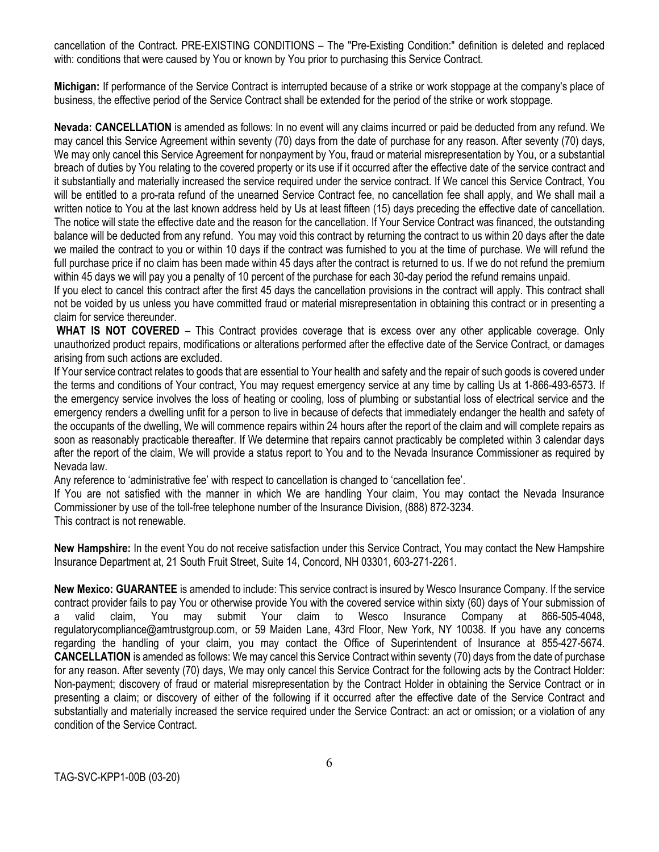cancellation of the Contract. PRE-EXISTING CONDITIONS – The "Pre-Existing Condition:" definition is deleted and replaced with: conditions that were caused by You or known by You prior to purchasing this Service Contract.

**Michigan:** If performance of the Service Contract is interrupted because of a strike or work stoppage at the company's place of business, the effective period of the Service Contract shall be extended for the period of the strike or work stoppage.

**Nevada: CANCELLATION** is amended as follows: In no event will any claims incurred or paid be deducted from any refund. We may cancel this Service Agreement within seventy (70) days from the date of purchase for any reason. After seventy (70) days, We may only cancel this Service Agreement for nonpayment by You, fraud or material misrepresentation by You, or a substantial breach of duties by You relating to the covered property or its use if it occurred after the effective date of the service contract and it substantially and materially increased the service required under the service contract. If We cancel this Service Contract, You will be entitled to a pro-rata refund of the unearned Service Contract fee, no cancellation fee shall apply, and We shall mail a written notice to You at the last known address held by Us at least fifteen (15) days preceding the effective date of cancellation. The notice will state the effective date and the reason for the cancellation. If Your Service Contract was financed, the outstanding balance will be deducted from any refund. You may void this contract by returning the contract to us within 20 days after the date we mailed the contract to you or within 10 days if the contract was furnished to you at the time of purchase. We will refund the full purchase price if no claim has been made within 45 days after the contract is returned to us. If we do not refund the premium within 45 days we will pay you a penalty of 10 percent of the purchase for each 30-day period the refund remains unpaid.

If you elect to cancel this contract after the first 45 days the cancellation provisions in the contract will apply. This contract shall not be voided by us unless you have committed fraud or material misrepresentation in obtaining this contract or in presenting a claim for service thereunder.

**WHAT IS NOT COVERED** – This Contract provides coverage that is excess over any other applicable coverage. Only unauthorized product repairs, modifications or alterations performed after the effective date of the Service Contract, or damages arising from such actions are excluded.

If Your service contract relates to goods that are essential to Your health and safety and the repair of such goods is covered under the terms and conditions of Your contract, You may request emergency service at any time by calling Us at 1-866-493-6573. If the emergency service involves the loss of heating or cooling, loss of plumbing or substantial loss of electrical service and the emergency renders a dwelling unfit for a person to live in because of defects that immediately endanger the health and safety of the occupants of the dwelling, We will commence repairs within 24 hours after the report of the claim and will complete repairs as soon as reasonably practicable thereafter. If We determine that repairs cannot practicably be completed within 3 calendar days after the report of the claim, We will provide a status report to You and to the Nevada Insurance Commissioner as required by Nevada law.

Any reference to 'administrative fee' with respect to cancellation is changed to 'cancellation fee'.

If You are not satisfied with the manner in which We are handling Your claim, You may contact the Nevada Insurance Commissioner by use of the toll-free telephone number of the Insurance Division, (888) 872-3234.

This contract is not renewable.

**New Hampshire:** In the event You do not receive satisfaction under this Service Contract, You may contact the New Hampshire Insurance Department at, 21 South Fruit Street, Suite 14, Concord, NH 03301, 603-271-2261.

**New Mexico: GUARANTEE** is amended to include: This service contract is insured by Wesco Insurance Company. If the service contract provider fails to pay You or otherwise provide You with the covered service within sixty (60) days of Your submission of a valid claim, You may submit Your claim to Wesco Insurance Company at 866-505-4048, [regulatorycompliance@amtrustgroup.com,](mailto:regulatorycompliance@amtrustgroup.com) or 59 Maiden Lane, 43rd Floor, New York, NY 10038. If you have any concerns regarding the handling of your claim, you may contact the Office of Superintendent of lnsurance at 855-427-5674. **CANCELLATION** is amended as follows: We may cancel this Service Contract within seventy (70) days from the date of purchase for any reason. After seventy (70) days, We may only cancel this Service Contract for the following acts by the Contract Holder: Non-payment; discovery of fraud or material misrepresentation by the Contract Holder in obtaining the Service Contract or in presenting a claim; or discovery of either of the following if it occurred after the effective date of the Service Contract and substantially and materially increased the service required under the Service Contract: an act or omission; or a violation of any condition of the Service Contract.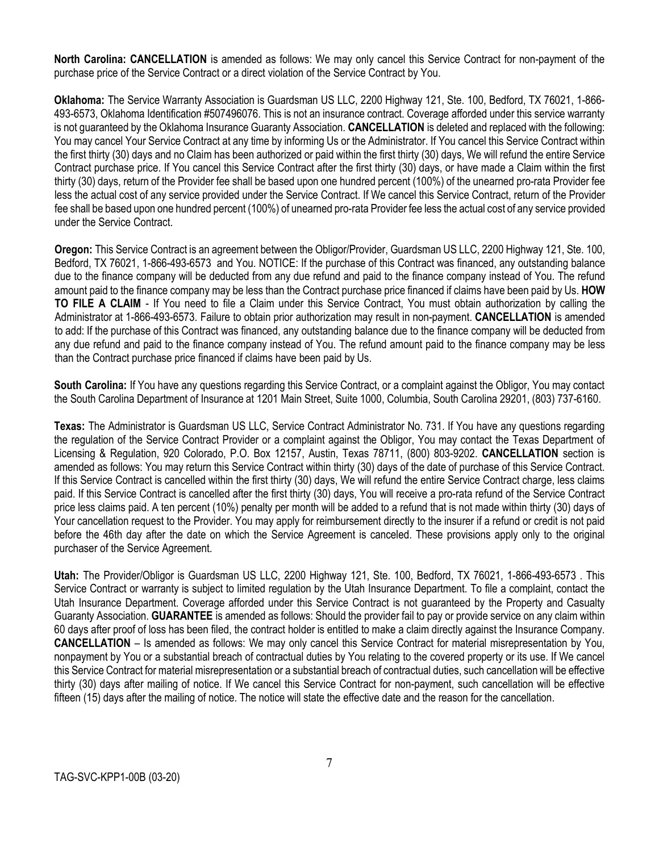**North Carolina: CANCELLATION** is amended as follows: We may only cancel this Service Contract for non-payment of the purchase price of the Service Contract or a direct violation of the Service Contract by You.

**Oklahoma:** The Service Warranty Association is Guardsman US LLC, 2200 Highway 121, Ste. 100, Bedford, TX 76021, 1-866- 493-6573, Oklahoma Identification #507496076. This is not an insurance contract. Coverage afforded under this service warranty is not guaranteed by the Oklahoma Insurance Guaranty Association. **CANCELLATION** is deleted and replaced with the following: You may cancel Your Service Contract at any time by informing Us or the Administrator. If You cancel this Service Contract within the first thirty (30) days and no Claim has been authorized or paid within the first thirty (30) days, We will refund the entire Service Contract purchase price. If You cancel this Service Contract after the first thirty (30) days, or have made a Claim within the first thirty (30) days, return of the Provider fee shall be based upon one hundred percent (100%) of the unearned pro-rata Provider fee less the actual cost of any service provided under the Service Contract. If We cancel this Service Contract, return of the Provider fee shall be based upon one hundred percent (100%) of unearned pro-rata Provider fee less the actual cost of any service provided under the Service Contract.

**Oregon:** This Service Contract is an agreement between the Obligor/Provider, Guardsman US LLC, 2200 Highway 121, Ste. 100, Bedford, TX 76021, 1-866-493-6573 and You. NOTICE: If the purchase of this Contract was financed, any outstanding balance due to the finance company will be deducted from any due refund and paid to the finance company instead of You. The refund amount paid to the finance company may be less than the Contract purchase price financed if claims have been paid by Us. **HOW TO FILE A CLAIM** - If You need to file a Claim under this Service Contract, You must obtain authorization by calling the Administrator at 1-866-493-6573. Failure to obtain prior authorization may result in non-payment. **CANCELLATION** is amended to add: If the purchase of this Contract was financed, any outstanding balance due to the finance company will be deducted from any due refund and paid to the finance company instead of You. The refund amount paid to the finance company may be less than the Contract purchase price financed if claims have been paid by Us.

**South Carolina:** If You have any questions regarding this Service Contract, or a complaint against the Obligor, You may contact the South Carolina Department of Insurance at 1201 Main Street, Suite 1000, Columbia, South Carolina 29201, (803) 737-6160.

**Texas:** The Administrator is Guardsman US LLC, Service Contract Administrator No. 731. If You have any questions regarding the regulation of the Service Contract Provider or a complaint against the Obligor, You may contact the Texas Department of Licensing & Regulation, 920 Colorado, P.O. Box 12157, Austin, Texas 78711, (800) 803-9202. **CANCELLATION** section is amended as follows: You may return this Service Contract within thirty (30) days of the date of purchase of this Service Contract. If this Service Contract is cancelled within the first thirty (30) days, We will refund the entire Service Contract charge, less claims paid. If this Service Contract is cancelled after the first thirty (30) days, You will receive a pro-rata refund of the Service Contract price less claims paid. A ten percent (10%) penalty per month will be added to a refund that is not made within thirty (30) days of Your cancellation request to the Provider. You may apply for reimbursement directly to the insurer if a refund or credit is not paid before the 46th day after the date on which the Service Agreement is canceled. These provisions apply only to the original purchaser of the Service Agreement.

**Utah:** The Provider/Obligor is Guardsman US LLC, 2200 Highway 121, Ste. 100, Bedford, TX 76021, 1-866-493-6573 . This Service Contract or warranty is subject to limited regulation by the Utah Insurance Department. To file a complaint, contact the Utah Insurance Department. Coverage afforded under this Service Contract is not guaranteed by the Property and Casualty Guaranty Association. **GUARANTEE** is amended as follows: Should the provider fail to pay or provide service on any claim within 60 days after proof of loss has been filed, the contract holder is entitled to make a claim directly against the Insurance Company. **CANCELLATION** – Is amended as follows: We may only cancel this Service Contract for material misrepresentation by You, nonpayment by You or a substantial breach of contractual duties by You relating to the covered property or its use. If We cancel this Service Contract for material misrepresentation or a substantial breach of contractual duties, such cancellation will be effective thirty (30) days after mailing of notice. If We cancel this Service Contract for non-payment, such cancellation will be effective fifteen (15) days after the mailing of notice. The notice will state the effective date and the reason for the cancellation.